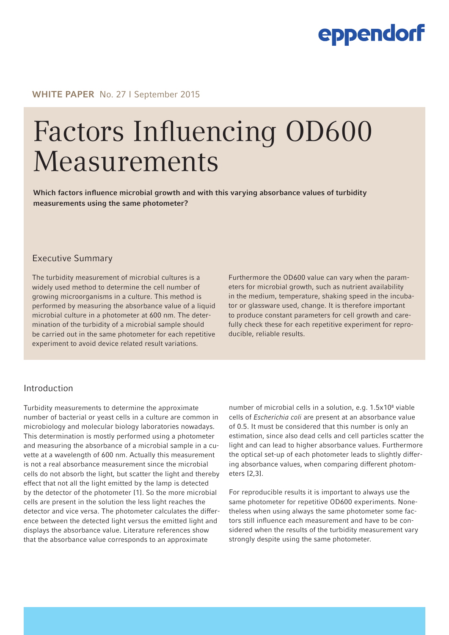## eppendorf

WHITE PAPER No. 27 I September 2015

# Factors Influencing OD600 Measurements

Which factors influence microbial growth and with this varying absorbance values of turbidity measurements using the same photometer?

### Executive Summary

The turbidity measurement of microbial cultures is a widely used method to determine the cell number of growing microorganisms in a culture. This method is performed by measuring the absorbance value of a liquid microbial culture in a photometer at 600 nm. The determination of the turbidity of a microbial sample should be carried out in the same photometer for each repetitive experiment to avoid device related result variations.

Furthermore the OD600 value can vary when the parameters for microbial growth, such as nutrient availability in the medium, temperature, shaking speed in the incubator or glassware used, change. It is therefore important to produce constant parameters for cell growth and carefully check these for each repetitive experiment for reproducible, reliable results.

### Introduction

Turbidity measurements to determine the approximate number of bacterial or yeast cells in a culture are common in microbiology and molecular biology laboratories nowadays. This determination is mostly performed using a photometer and measuring the absorbance of a microbial sample in a cuvette at a wavelength of 600 nm. Actually this measurement is not a real absorbance measurement since the microbial cells do not absorb the light, but scatter the light and thereby effect that not all the light emitted by the lamp is detected by the detector of the photometer [1]. So the more microbial cells are present in the solution the less light reaches the detector and vice versa. The photometer calculates the difference between the detected light versus the emitted light and displays the absorbance value. Literature references show that the absorbance value corresponds to an approximate

number of microbial cells in a solution, e.g. 1.5x10<sup>8</sup> viable cells of *Escherichia coli* are present at an absorbance value of 0.5. It must be considered that this number is only an estimation, since also dead cells and cell particles scatter the light and can lead to higher absorbance values. Furthermore the optical set-up of each photometer leads to slightly differing absorbance values, when comparing different photometers [2,3].

For reproducible results it is important to always use the same photometer for repetitive OD600 experiments. Nonetheless when using always the same photometer some factors still influence each measurement and have to be considered when the results of the turbidity measurement vary strongly despite using the same photometer.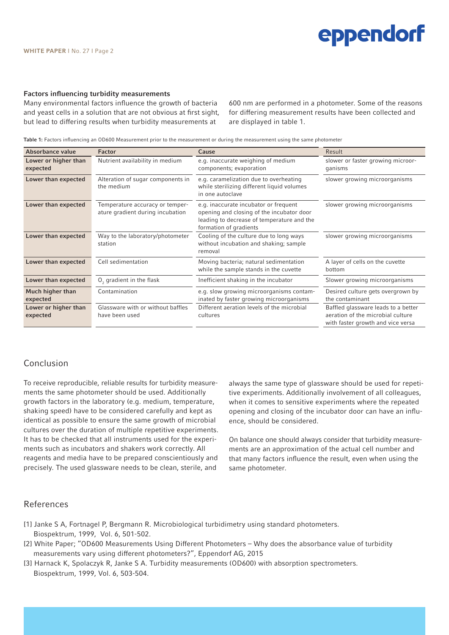## eppendorf

#### Factors influencing turbidity measurements

Many environmental factors influence the growth of bacteria and yeast cells in a solution that are not obvious at first sight, but lead to differing results when turbidity measurements at

600 nm are performed in a photometer. Some of the reasons for differing measurement results have been collected and are displayed in table 1.

Table 1: Factors influencing an OD600 Measurement prior to the measurement or during the measurement using the same photometer

| Absorbance value                 | <b>Factor</b>                                                       | Cause                                                                                                                                                      | Result                                                                                                        |
|----------------------------------|---------------------------------------------------------------------|------------------------------------------------------------------------------------------------------------------------------------------------------------|---------------------------------------------------------------------------------------------------------------|
| Lower or higher than<br>expected | Nutrient availability in medium                                     | e.g. inaccurate weighing of medium<br>components; evaporation                                                                                              | slower or faster growing microor-<br>ganisms                                                                  |
| Lower than expected              | Alteration of sugar components in<br>the medium                     | e.g. caramelization due to overheating<br>while sterilizing different liquid volumes<br>in one autoclave                                                   | slower growing microorganisms                                                                                 |
| Lower than expected              | Temperature accuracy or temper-<br>ature gradient during incubation | e.g. inaccurate incubator or frequent<br>opening and closing of the incubator door<br>leading to decrease of temperature and the<br>formation of gradients | slower growing microorganisms                                                                                 |
| Lower than expected              | Way to the laboratory/photometer<br>station                         | Cooling of the culture due to long ways<br>without incubation and shaking; sample<br>removal                                                               | slower growing microorganisms                                                                                 |
| Lower than expected              | Cell sedimentation                                                  | Moving bacteria; natural sedimentation<br>while the sample stands in the cuvette                                                                           | A layer of cells on the cuvette<br>bottom                                                                     |
| Lower than expected              | $O2$ gradient in the flask                                          | Inefficient shaking in the incubator                                                                                                                       | Slower growing microorganisms                                                                                 |
| Much higher than<br>expected     | Contamination                                                       | e.g. slow growing microorganisms contam-<br>inated by faster growing microorganisms                                                                        | Desired culture gets overgrown by<br>the contaminant                                                          |
| Lower or higher than<br>expected | Glassware with or without baffles<br>have been used                 | Different aeration levels of the microbial<br>cultures                                                                                                     | Baffled glassware leads to a better<br>aeration of the microbial culture<br>with faster growth and vice versa |

## Conclusion

To receive reproducible, reliable results for turbidity measurements the same photometer should be used. Additionally growth factors in the laboratory (e.g. medium, temperature, shaking speed) have to be considered carefully and kept as identical as possible to ensure the same growth of microbial cultures over the duration of multiple repetitive experiments. It has to be checked that all instruments used for the experiments such as incubators and shakers work correctly. All reagents and media have to be prepared conscientiously and precisely. The used glassware needs to be clean, sterile, and

always the same type of glassware should be used for repetitive experiments. Additionally involvement of all colleagues, when it comes to sensitive experiments where the repeated opening and closing of the incubator door can have an influence, should be considered.

On balance one should always consider that turbidity measurements are an approximation of the actual cell number and that many factors influence the result, even when using the same photometer.

#### References

- [1] Janke S A, Fortnagel P, Bergmann R. Microbiological turbidimetry using standard photometers. Biospektrum, 1999, Vol. 6, 501-502.
- [2] White Paper; "OD600 Measurements Using Different Photometers Why does the absorbance value of turbidity measurements vary using different photometers?", Eppendorf AG, 2015
- [3] Harnack K, Spolaczyk R, Janke S A. Turbidity measurements (OD600) with absorption spectrometers. Biospektrum, 1999, Vol. 6, 503-504.